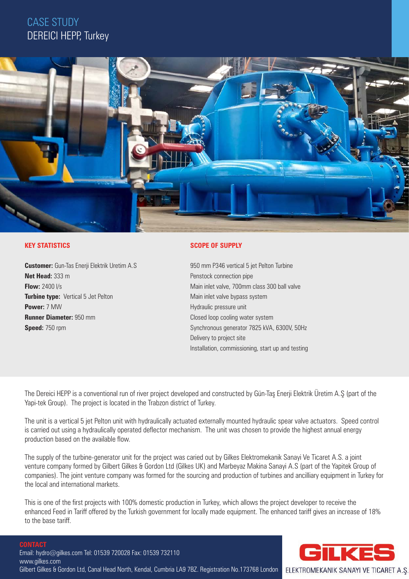## CASE STUDY DEREICI HEPP, Turkey



## **KEY STATISTICS**

**Customer:** Gun-Tas Enerji Elektrik Uretim A.S **Net Head:** 333 m **Flow:** 2400 l/s **Turbine type:** Vertical 5 Jet Pelton **Power:** 7 MW **Runner Diameter:** 950 mm **Speed:** 750 rpm

### **SCOPE OF SUPPLY**

950 mm P346 vertical 5 jet Pelton Turbine Penstock connection pipe Main inlet valve, 700mm class 300 ball valve Main inlet valve bypass system Hydraulic pressure unit Closed loop cooling water system Synchronous generator 7825 kVA, 6300V, 50Hz Delivery to project site Installation, commissioning, start up and testing

The Dereici HEPP is a conventional run of river project developed and constructed by Gün-Taş Enerji Elektrik Üretim A.Ş (part of the Yapi-tek Group). The project is located in the Trabzon district of Turkey.

The unit is a vertical 5 jet Pelton unit with hydraulically actuated externally mounted hydraulic spear valve actuators. Speed control is carried out using a hydraulically operated deflector mechanism. The unit was chosen to provide the highest annual energy production based on the available flow.

The supply of the turbine-generator unit for the project was caried out by Gilkes Elektromekanik Sanayi Ve Ticaret A.S. a joint venture company formed by Gilbert Gilkes & Gordon Ltd (Gilkes UK) and Marbeyaz Makina Sanayi A.S (part of the Yapitek Group of companies). The joint venture company was formed for the sourcing and production of turbines and ancilliary equipment in Turkey for the local and international markets.

This is one of the first projects with 100% domestic production in Turkey, which allows the project developer to receive the enhanced Feed in Tariff offered by the Turkish government for locally made equipment. The enhanced tariff gives an increase of 18% to the base tariff.

#### **CONTACT**



www.gilkes.com Gilbert Gilkes & Gordon Ltd, Canal Head North, Kendal, Cumbria LA9 7BZ. Registration No.173768 London ELEKTROMEKANIK SANAYI VE TICARET A.Ş.

Email: hydro@gilkes.com Tel: 01539 720028 Fax: 01539 732110